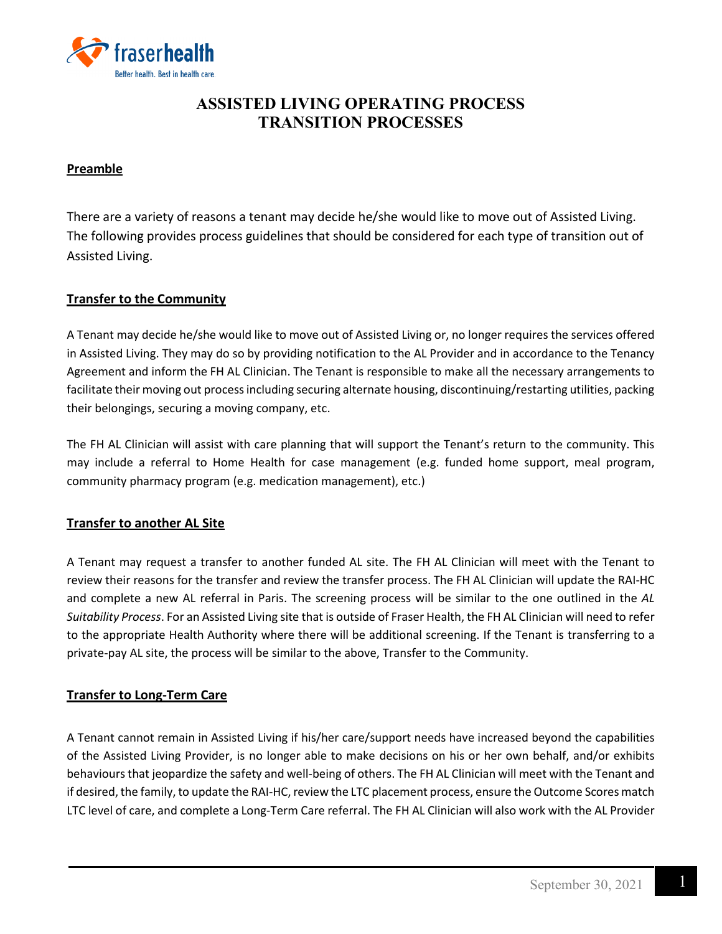

# **ASSISTED LIVING OPERATING PROCESS TRANSITION PROCESSES**

## **Preamble**

There are a variety of reasons a tenant may decide he/she would like to move out of Assisted Living. The following provides process guidelines that should be considered for each type of transition out of Assisted Living.

## **Transfer to the Community**

A Tenant may decide he/she would like to move out of Assisted Living or, no longer requires the services offered in Assisted Living. They may do so by providing notification to the AL Provider and in accordance to the Tenancy Agreement and inform the FH AL Clinician. The Tenant is responsible to make all the necessary arrangements to facilitate their moving out process including securing alternate housing, discontinuing/restarting utilities, packing their belongings, securing a moving company, etc.

The FH AL Clinician will assist with care planning that will support the Tenant's return to the community. This may include a referral to Home Health for case management (e.g. funded home support, meal program, community pharmacy program (e.g. medication management), etc.)

## **Transfer to another AL Site**

A Tenant may request a transfer to another funded AL site. The FH AL Clinician will meet with the Tenant to review their reasons for the transfer and review the transfer process. The FH AL Clinician will update the RAI-HC and complete a new AL referral in Paris. The screening process will be similar to the one outlined in the *AL Suitability Process*. For an Assisted Living site that is outside of Fraser Health, the FH AL Clinician will need to refer to the appropriate Health Authority where there will be additional screening. If the Tenant is transferring to a private-pay AL site, the process will be similar to the above, Transfer to the Community.

## **Transfer to Long-Term Care**

A Tenant cannot remain in Assisted Living if his/her care/support needs have increased beyond the capabilities of the Assisted Living Provider, is no longer able to make decisions on his or her own behalf, and/or exhibits behaviours that jeopardize the safety and well-being of others. The FH AL Clinician will meet with the Tenant and if desired, the family, to update the RAI-HC, review the LTC placement process, ensure the Outcome Scores match LTC level of care, and complete a Long-Term Care referral. The FH AL Clinician will also work with the AL Provider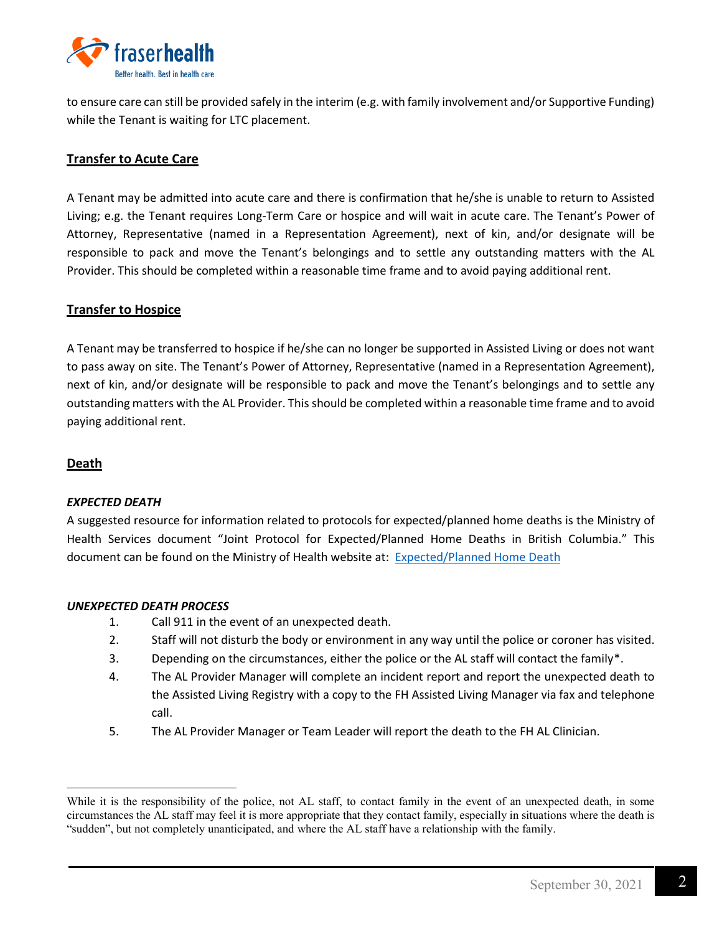

to ensure care can still be provided safely in the interim (e.g. with family involvement and/or Supportive Funding) while the Tenant is waiting for LTC placement.

# **Transfer to Acute Care**

A Tenant may be admitted into acute care and there is confirmation that he/she is unable to return to Assisted Living; e.g. the Tenant requires Long-Term Care or hospice and will wait in acute care. The Tenant's Power of Attorney, Representative (named in a Representation Agreement), next of kin, and/or designate will be responsible to pack and move the Tenant's belongings and to settle any outstanding matters with the AL Provider. This should be completed within a reasonable time frame and to avoid paying additional rent.

### **Transfer to Hospice**

A Tenant may be transferred to hospice if he/she can no longer be supported in Assisted Living or does not want to pass away on site. The Tenant's Power of Attorney, Representative (named in a Representation Agreement), next of kin, and/or designate will be responsible to pack and move the Tenant's belongings and to settle any outstanding matters with the AL Provider. This should be completed within a reasonable time frame and to avoid paying additional rent.

#### **Death**

 $\overline{a}$ 

#### *EXPECTED DEATH*

A suggested resource for information related to protocols for expected/planned home deaths is the Ministry of Health Services document "Joint Protocol for Expected/Planned Home Deaths in British Columbia." This document can be found on the Ministry of Health website at: [Expected/Planned Home Death](https://www2.gov.bc.ca/gov/content/health/accessing-health-care/home-community-care/care-options-and-cost/end-of-life-care/expected-planned-home-deaths)

#### *UNEXPECTED DEATH PROCESS*

- 1. Call 911 in the event of an unexpected death.
- 2. Staff will not disturb the body or environment in any way until the police or coroner has visited.
- 3. Depending on the circumstances, either the police or the AL staff will contact the family[\\*.](#page-1-0)
- 4. The AL Provider Manager will complete an incident report and report the unexpected death to the Assisted Living Registry with a copy to the FH Assisted Living Manager via fax and telephone call.
- 5. The AL Provider Manager or Team Leader will report the death to the FH AL Clinician.

<span id="page-1-0"></span>While it is the responsibility of the police, not AL staff, to contact family in the event of an unexpected death, in some circumstances the AL staff may feel it is more appropriate that they contact family, especially in situations where the death is "sudden", but not completely unanticipated, and where the AL staff have a relationship with the family.